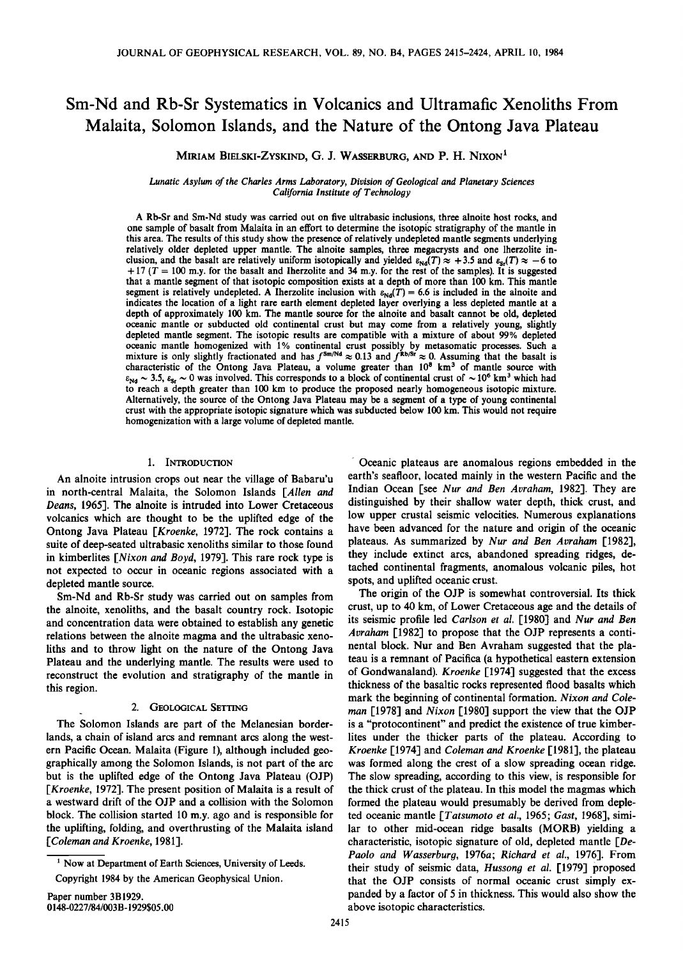# Sm-Nd and Rb-Sr Systematics in Volcanics and Ultramafic Xenoliths From Malaita, Solomon Islands, and the Nature of the Ontong Java Plateau

MIRIAM BIELSKI-ZYSKIND, G. J. WASSERBURG, AND P. H. NIXON<sup>1</sup>

*Lunatic Asylum of the Charles Arms Laboratory, Division of Geological and Planetary Sciences California Institute of Technology* 

A Rb-Sr and Sm-Nd study was carried out on five ultrabasic inclusions, three alnoite host rocks, and one sample of basalt from Malaita in an effort to determine the isotopic stratigraphy of the mantle in this area. The results of this study show the presence of relatively undepleted mantle segments underlying relatively older depleted upper mantle. The alnoite samples, three megacrysts and one lherzolite inclusion, and the basalt are relatively uniform isotopically and yielded  $\varepsilon_{Nd}(T) \approx +3.5$  and  $\varepsilon_{sr}(T) \approx -6$  to  $+17$  (T = 100 m.y. for the basalt and Iherzolite and 34 m.y. for the rest of the samples). It is suggested that a mantle segment of that isotopic composition exists at a depth of more than 100 km. This mantle segment is relatively undepleted. A Iherzolite inclusion with  $\varepsilon_{Nd}(T) = 6.6$  is included in the alnoite and indicates the location of a light rare earth element depleted layer overlying a less depleted mantle at a depth of approximately 100 km. The mantle source for the alnoite and basalt cannot be old, depleted oceanic mantle or subducted old continental crust but may come from a relatively young, slightly depleted mantle segment. The isotopic results are compatible with a mixture of about 99% depleted oceanic mantle homogenized with 1% continental crust possibly by metasomatic processes. Such a mixture is only slightly fractionated and has  $f^{Sm/Nd} \approx 0.13$  and  $f^{Rb/Sr} \approx 0$ . Assuming that the basalt is characteristic of the Ontong Java Plateau, a volume greater than 10<sup>8</sup> km<sup>3</sup> of mantle source with  $\varepsilon_{Nd} \sim 3.5$ ,  $\varepsilon_{Sr} \sim 0$  was involved. This corresponds to a block of continental crust of  $\sim 10^6$  km<sup>3</sup> which had to reach a depth greater than 100 km to produce the proposed nearly homogeneous isotopic mixture. Alternatively, the source of the Ontong Java Plateau may be a segment of a type of young continental crust with the appropriate isotopic signature which was subducted below 100 km. This would not require homogenization with a large volume of depleted mantle.

## 1. INTRODUCTION

An alnoite intrusion crops out near the village of Babaru'u in north-central Malaita, the Solomon Islands *[Allen and Deans,* 1965]. The alnoite is intruded into Lower Cretaceous volcanics which are thought to be the uplifted edge of the Ontong Java Plateau *[Kroenke,* 1972]. The rock contains a suite of deep-seated ultrabasic xenoliths similar to those found in kimberlites *[Nixon and Boyd,* 1979]. This rare rock type is not expected to occur in oceanic regions associated with a depleted mantle source.

Sm-Nd and Rb-Sr study was carried out on samples from the alnoite, xenoliths, and the basalt country rock. Isotopic and concentration data were obtained to establish any genetic relations between the alnoite magma and the ultrabasic xenoliths and to throw light on the nature of the Ontong Java Plateau and the underlying mantle. The results were used to reconstruct the evolution and stratigraphy of the mantle in this region.

# 2. GEOLOGICAL SETTING

The Solomon Islands are part of the Melanesian borderlands, a chain of island arcs and remnant arcs along the western Pacific Ocean. Malaita (Figure 1), although included geographically among the Solomon Islands, is not part of the arc but is the uplifted edge of the Ontong Java Plateau (OJP) *[Kroenke,* 1972]. The present position of Malaita is a result of a westward drift of the OJP and a collision with the Solomon block. The collision started 10 m.y. ago and is responsible for the uplifting, folding, and overthrusting of the Malaita island *[Coleman and Kroenke,* 1981].

Oceanic plateaus are anomalous regions embedded in the earth's seafloor, located mainly in the western Pacific and the Indian Ocean [see *Nur and Ben Avraham,* 1982]. They are distinguished by their shallow water depth, thick crust, and low upper crustal seismic velocities. Numerous explanations have been advanced for the nature and origin of the oceanic plateaus. As summarized by *Nur and Ben Avraham* [1982], they include extinct arcs, abandoned spreading ridges, detached continental fragments, anomalous volcanic piles, hot spots, and uplifted oceanic crust.

The origin of the OJP is somewhat controversial. Its thick crust, up to 40 km, of Lower Cretaceous age and the details of its seismic profile led *Carlson et al.* [1980] and *Nur and Ben Avraham* [1982] to propose that the OJP represents a continental block. Nur and Ben A vraham suggested that the plateau is a remnant of Pacifica (a hypothetical eastern extension of Gondwanaland). *Kroenke* [1974] suggested that the excess thickness of the basaltic rocks represented flood basalts which mark the beginning of continental formation. *Nixon and Coleman* [1978] and *Nixon* [1980] support the view that the OJP is a "protocontinent" and predict the existence of true kimberlites under the thicker parts of the plateau. According to *Kroenke* [1974] and *Coleman and Kroenke* [1981], the plateau was formed along the crest of a slow spreading ocean ridge. The slow spreading, according to this view, is responsible for the thick crust of the plateau. In this model the magmas which formed the plateau would presumably be derived from depleted oceanic mantle *[Tatsumoto et al.,* 1965; *Gast,* 1968], similar to other mid-ocean ridge basalts (MORB) yielding a characteristic, isotopic signature of old, depleted mantle *[De-Paolo and Wasserburg,* 1976a; *Richard et al.,* 1976]. From their study of seismic data, *Hussong et al.* [1979] proposed that the OJP consists of normal oceanic crust simply expanded by a factor of *5* in thickness. This would also show the above isotopic characteristics.

<sup>&</sup>lt;sup>1</sup> Now at Department of Earth Sciences, University of Leeds.

Copyright 1984 by the American Geophysical Union.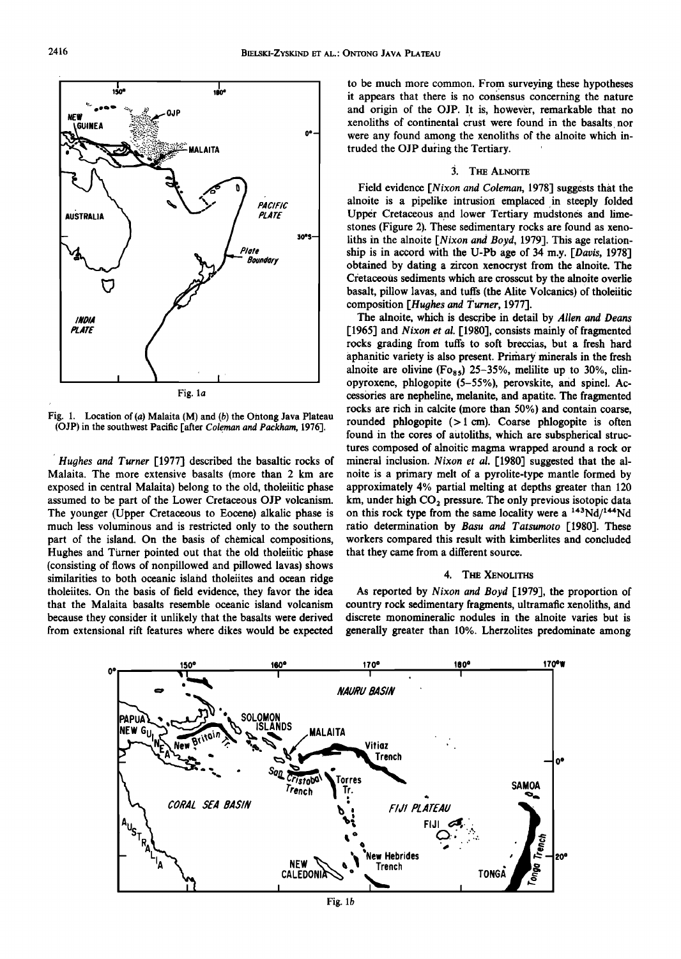

Fig. l. Location of (a) Malaita (M) and (b) the Ontong Java Plateau (OJP) in the southwest Pacific [after *Coleman and Packham,* 1976].

*Hughes and Turner* [1977] described the basaltic rocks of Malaita. The more extensive basalts (more than 2 km are exposed in central Malaita) belong to the old, tholeiitic phase assumed to be part of the Lower Cretaceous OJP volcanism. The younger (Upper Cretaceous to Eocene) alkalic phase is much less voluminous and is restricted only to the southern part of the island. On the basis of chemical compositions, Hughes and Turner pointed out that the old tholeiitic phase (consisting of flows of nonpillowed and pillowed lavas) shows similarities to both oceanic island tholeiites and ocean ridge tholeiites. On the basis of field evidence, they favor the idea that the Malaita basalts resemble oceanic island volcanism because they consider it unlikely that the basalts were derived from extensional rift features where dikes would be expected to be much more common. From surveying these hypotheses it appears that there is no consensus concerning the nature and origin of the OJP. It is, hoWever, remarkable that no xenoliths of continental crust were found in the basalts nor were any found among the xenoliths of the alnoite which intruded the OJP during the Tertiary.

# 3. THE ALNOITE

Field evidence *[Nixon and Coleman,* 1978] suggests that the alnoite is a pipelike intrusion: emplaced in steeply folded Upper Cretaceous and lower Tertiary mudstones and limestones (Figure 2). These sedimentary rocks are found as xenoliths in the alnoite *[Nixon and Boyd,* 1979]. This age relationship is in accord with the U-Pb age of 34 m.y. *[Davis,* 1978] obtained by dating a zircon xenocryst from the alnoite. The Cretaceous sediments which are crosscut by the alnoite overlie basalt, pillow lavas, and tuffs (the Alite Volcanics) of tholeiitic composition *[Hughes and Turner,* 1977].

The alnoite, which is describe in detail by *Allen and Deans*  [1965] and *Nixon et al.* [1980], consists mainly of fragmented rocks grading from tuffs to soft breccias, but a fresh hard aphanitic variety is also present. Primary· minerals in the fresh alnoite are olivine (Fo<sub>85</sub>) 25-35%, melilite up to 30%, clinopyroxene, phlogopite (5-55%), perovskite, and spinel. Accessories are nepheline, melanite, and apatite. The fragmented rocks are rich in calcite (more than 50%) and contain coarse, rounded phlogopite  $( > 1$  cm). Coarse phlogopite is often found in the cores of autoliths, which are subspherical structures composed of alnoitic magma wrapped around a rock or mineral inclusion. *Nixon et al.* [1980] suggested that the alnoite is a primary melt of a pyrolite-type mantle formed by approximately 4% partial melting at depths greater than 120 km, under high  $CO<sub>2</sub>$  pressure. The only previous isotopic data on this rock type from the same locality were a  $143Nd/144Nd$ ratio determination by *Basu and Tatsumoto* [1980]. These workers compared this result with kimberlites and concluded that they came from a different source.

## 4. THE XENOLITHS

As reported by *Nixon and Boyd* [1979], the proportion of country rock sedimentary fragments, ultramafic xenoliths, and discrete monomineralic nodules in the alnoite varies but is generally greater than 10%. Lherzolites predominate among



Fig. 1b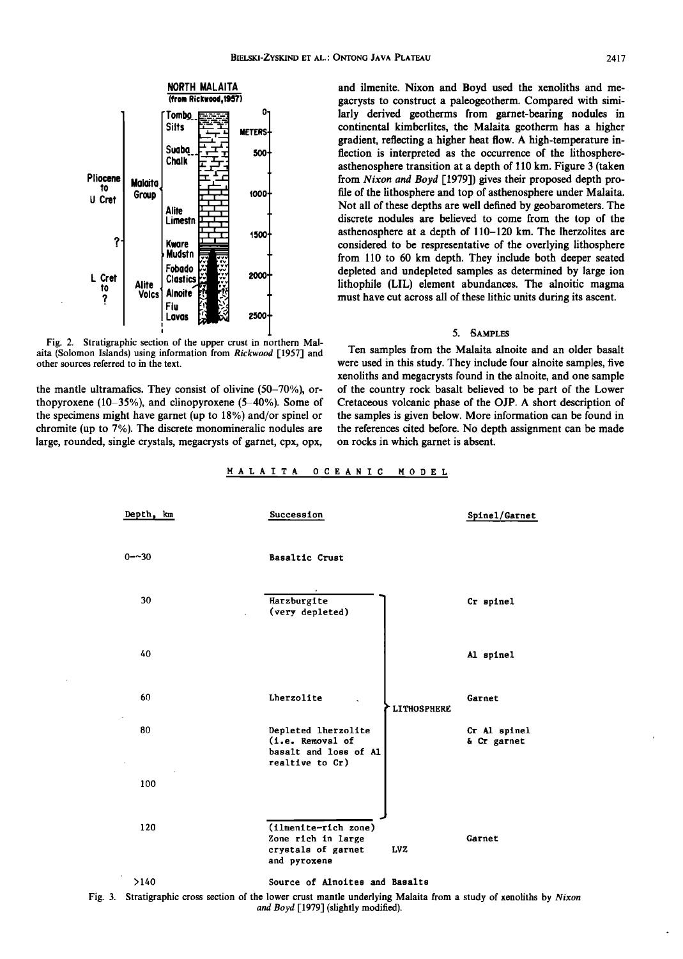

Fig. 2. Stratigraphic section of the upper crust in northern Malaita (Solomon Islands) using information from *Rickwood* [1957] and other sources referred to in the text.

the mantle ultramafics. They consist of olivine (50-70%), orthopyroxene (10-35%), and clinopyroxene (5-40%). Some of the specimens might have garnet (up to 18%) and/or spinel or chromite (up to 7%). The discrete monomineralic nodules are large, rounded, single crystals, megacrysts of garnet, cpx, opx, and ilmenite. Nixon and Boyd used the xenoliths and megacrysts to construct a paleogeotherm. Compared with similarly derived geotherms from garnet-bearing nodules in continental kimberlites, the Malaita geotherm has a higher gradient, reflecting a higher heat flow. A high-temperature inflection is interpreted as the occurrence of the lithosphereasthenosphere transition at a depth of 110 km. Figure 3 (taken from *Nixon and Boyd* [1979]) gives their proposed depth profile of the lithosphere and top of asthenosphere under Malaita. Not all of these depths are well defined by geobarometers. The discrete nodules are believed to come from the top of the asthenosphere at a depth of 110-120 km. The lherzolites are considered to be respresentative of the overlying lithosphere from 110 to 60 km depth. They include both deeper seated depleted and undepicted samples as determined by large ion lithophile (LIL) element abundances. The alnoitic magma must have cut across all of these lithic units during its ascent.

#### 5. SAMPLES

Ten samples from the Malaita alnoite and an older basalt were used in this study. They include four alnoite samples, five xenoliths and megacrysts found in the alnoite, and one sample of the country rock basalt believed to be part of the Lower Cretaceous volcanic phase of the OJP. A short description of the samples is given below. More information can be found in the references cited before. No depth assignment can be made on rocks in which garnet is absent.





Fig. 3. Stratigraphic cross section of the lower crust mantle underlying Malaita from a study of xenoliths by *Nixon and Boyd* [1979] (slightly modified).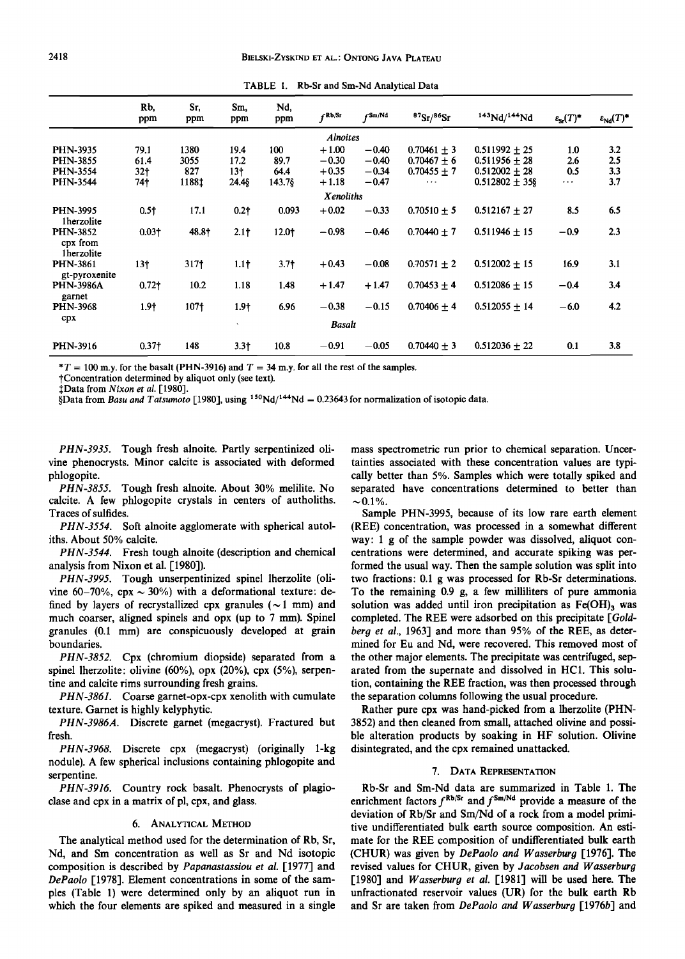|                                           | Rb.<br>ppm        | Sr.<br>ppm       | Sm.<br>ppm       | Nd,<br>ppm       | fRb/Sr          | $f$ Sm/Nd | 87Sr/86Sr       | 143Nd/144Nd       | $\varepsilon_{\rm Sr}(T)^*$ | $\varepsilon_{\rm Nd}(T)^*$ |  |  |
|-------------------------------------------|-------------------|------------------|------------------|------------------|-----------------|-----------|-----------------|-------------------|-----------------------------|-----------------------------|--|--|
|                                           |                   |                  |                  |                  | <b>Alnoites</b> |           |                 |                   |                             |                             |  |  |
| <b>PHN-3935</b>                           | 79.1              | 1380             | 19.4             | 100              | $+1.00$         | $-0.40$   | $0.70461 \pm 3$ | $0.511992 \pm 25$ | 1.0                         | 3.2                         |  |  |
| <b>PHN-3855</b>                           | 61.4              | 3055             | 17.2             | 89.7             | $-0.30$         | $-0.40$   | $0.70467 + 6$   | $0.511956 \pm 28$ | 2.6                         | 2.5                         |  |  |
| <b>PHN-3554</b>                           | 32 <sub>1</sub>   | 827              | 13 <sub>1</sub>  | 64.4             | $+0.35$         | $-0.34$   | $0.70455 + 7$   | $0.512002 \pm 28$ | 0.5                         | 3.3                         |  |  |
| <b>PHN-3544</b>                           | 74†               | 1188‡            | 24.48            | 143.7§           | $+1.18$         | $-0.47$   | $\cdots$        | $0.512802 + 35$ § | $\cdots$                    | 3.7                         |  |  |
| Xenoliths                                 |                   |                  |                  |                  |                 |           |                 |                   |                             |                             |  |  |
| <b>PHN-3995</b><br>1herzolite             | 0.5 <sup>†</sup>  | 17.1             | $0.2 +$          | 0.093            | $+0.02$         | $-0.33$   | $0.70510 + 5$   | $0.512167 \pm 27$ | 8.5                         | 6.5                         |  |  |
| <b>PHN-3852</b><br>cpx from<br>1herzolite | $0.03\dagger$     | 48.8†            | 2.1 <sub>†</sub> | 12.0+            | $-0.98$         | $-0.46$   | $0.70440 + 7$   | $0.511946 + 15$   | $-0.9$                      | 2.3                         |  |  |
| <b>PHN-3861</b><br>gt-pyroxenite          | 13 <sup>†</sup>   | 317†             | 1.1 <sub>†</sub> | 3.7 <sub>†</sub> | $+0.43$         | $-0.08$   | $0.70571 + 2$   | $0.512002 + 15$   | 16.9                        | 3.1                         |  |  |
| <b>PHN-3986A</b><br>garnet                | 0.72 <sup>†</sup> | 10.2             | 1.18             | 1.48             | $+1.47$         | $+1.47$   | $0.70453 + 4$   | $0.512086 + 15$   | $-0.4$                      | 3.4                         |  |  |
| <b>PHN-3968</b>                           | 1.9†              | 107 <sub>†</sub> | 1.9†             | 6.96             | $-0.38$         | $-0.15$   | $0.70406 + 4$   | $0.512055 + 14$   | $-6.0$                      | 4.2                         |  |  |
| cpx                                       |                   |                  | $\mathbf{v}$     |                  | Basalt          |           |                 |                   |                             |                             |  |  |
| PHN-3916                                  | 0.37 <sub>1</sub> | 148              | $3.3+$           | 10.8             | $-0.91$         | $-0.05$   | $0.70440 + 3$   | $0.512036 \pm 22$ | 0.1                         | 3.8                         |  |  |

TABLE l. Rb-Sr and Sm-Nd Analytical Data

 $*T = 100$  m.y. for the basalt (PHN-3916) and  $T = 34$  m.y. for all the rest of the samples.

tConcentration determined by aliquot only (see text).

tData from *Nixon eta/.* [1980].

§Data from *Basu and Tatsumoto* [1980], using <sup>150</sup>Nd/<sup>144</sup>Nd = 0.23643 for normalization of isotopic data.

PHN-3935. Tough fresh alnoite. Partly serpentinized olivine phenocrysts. Minor calcite is associated with deformed phlogopite.

PHN-3855. Tough fresh alnoite. About 30% melilite. No calcite. A few phlogopite crystals in centers of autholiths. Traces of sulfides.

PHN-3554. Soft alnoite agglomerate with spherical autoliths. About 50% calcite.

PHN-3544. Fresh tough alnoite (description and chemical analysis from Nixon et al. [1980]).

PHN-3995. Tough unserpentinized spinel lherzolite (olivine 60-70%, cpx  $\sim$  30%) with a deformational texture: defined by layers of recrystallized cpx granules ( $\sim$  1 mm) and much coarser, aligned spinels and opx (up to 7 mm). Spinel granules (0.1 mm) are conspicuously developed at grain boundaries.

PHN-3852. Cpx (chromium diopside) separated from a spinel lherzolite: olivine (60%), opx (20%), cpx (5%), serpentine and calcite rims surrounding fresh grains.

PHN-3861. Coarse garnet-opx-cpx xenolith with cumulate texture. Garnet is highly kelyphytic.

PHN-3986A. Discrete garnet (megacryst). Fractured but fresh.

PHN-3968. Discrete cpx (megacryst) (originally 1-kg nodule). A few spherical inclusions containing phlogopite and serpentine.

PHN-3916. Country rock basalt. Phenocrysts of plagioclase and cpx in a matrix of pi, cpx, and glass.

### 6. ANALYTICAL METHOD

The analytical method used for the determination of Rb, Sr, Nd, and Sm concentration as well as Sr and Nd isotopic composition is described by *Papanastassiou et a/.* [1977] and *DePaolo* [1978]. Element concentrations in some of the samples (Table 1) were determined only by an aliquot run in which the four elements are spiked and measured in a single mass spectrometric run prior to chemical separation. Uncertainties associated with these concentration values are typically better than *5%.* Samples which were totally spiked and separated have concentrations determined to better than  $\sim 0.1\%$ .

Sample PHN-3995, because of its low rare earth element (REE) concentration, was processed in a somewhat different way: 1 g of the sample powder was dissolved, aliquot concentrations were determined, and accurate spiking was performed the usual way. Then the sample solution was split into two fractions: 0.1 g was processed for Rb-Sr determinations. To the remaining 0.9 g, a few milliliters of pure ammonia solution was added until iron precipitation as  $Fe(OH)$ , was completed. The REE were adsorbed on this precipitate *[Goldberg et a/.,* 1963] and more than *95%* of the REE, as determined for Eu and Nd, were recovered. This removed most of the other major elements. The precipitate was centrifuged, separated from the supernate and dissolved in HCl. This solution, containing the REE fraction, was then processed through the separation columns following the usual procedure.

Rather pure cpx was hand-picked from a lherzolite (PHN-3852) and then cleaned from small, attached olivine and possible alteration products by soaking in HF solution. Olivine disintegrated, and the cpx remained unattacked.

#### 7. DATA REPRESENTATION

Rb-Sr and Sm-Nd data are summarized in Table 1. The enrichment factors  $f^{\text{Rb/Sr}}$  and  $f^{\text{Sm/Nd}}$  provide a measure of the deviation of Rb/Sr and Sm/Nd of a rock from a model primitive undifferentiated bulk earth source composition. An estimate for the REE composition of undifferentiated bulk earth (CHUR) was given by *DePaolo and W asserburg* [1976]. The revised values for CHUR, given by *Jacobsen and Wasserburg*  [1980] and *Wasserburg et al.* [1981] will be used here. The unfractionated reservoir values (UR) for the bulk earth Rb and Sr are taken from *DePaolo and Wasserburg* [1976b] and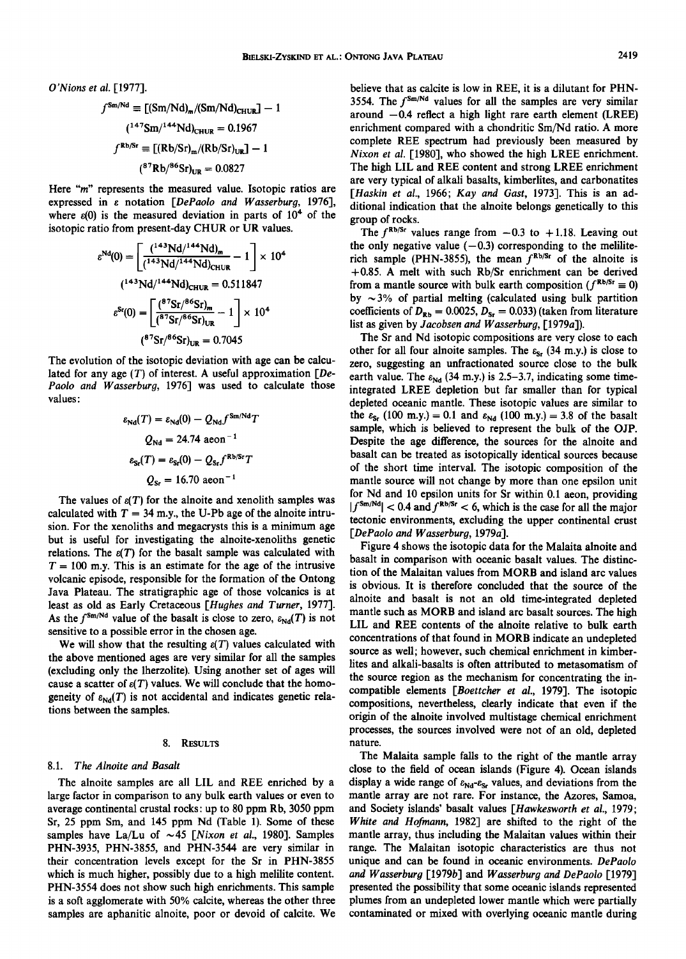$$
f^{\text{Sm/Nd}} \equiv \left[ (\text{Sm}/\text{Nd})_{\text{m}} / (\text{Sm}/\text{Nd})_{\text{CHUR}} \right] - 1
$$

$$
(147 \text{Sm}/144 \text{Nd})_{\text{CHUR}} = 0.1967
$$

$$
f^{\text{Rb/Sr}} \equiv \left[ (\text{Rb}/\text{Sr})_{\text{m}} / (\text{Rb}/\text{Sr})_{\text{UR}} \right] - 1
$$

$$
(87 \text{Rb}/86 \text{Sr})_{\text{UR}} = 0.0827
$$

Here *"m"* represents the measured value. Isotopic ratios are expressed in E notation *[DePaolo and W asserburg,* 1976], where  $\varepsilon(0)$  is the measured deviation in parts of  $10<sup>4</sup>$  of the isotopic ratio from present-day CHUR or UR values.

$$
\varepsilon^{Nd}(0) = \left[ \frac{(^{143}Nd/^{144}Nd)_m}{(^{143}Nd/^{144}Nd)_{CHUR}} - 1 \right] \times 10^4
$$

$$
(^{143}Nd/^{144}Nd)_{CHUR} = 0.511847
$$

$$
\varepsilon^{Sr}(0) = \left[ \frac{(^{87}Sr/^{86}Sr)_m}{(^{87}Sr/^{86}Sr)_{UR}} - 1 \right] \times 10^4
$$

$$
(^{87}Sr/^{86}Sr)_{UR} = 0.7045
$$

The evolution of the isotopic deviation with age can be calculated for any age (T) of interest. A useful approximation *[De-Paolo and Wasserburg,* 1976] was used to calculate those values:

$$
\varepsilon_{\rm Nd}(T) = \varepsilon_{\rm Nd}(0) - Q_{\rm Nd} f^{\rm Sm/Nd} T
$$
  

$$
Q_{\rm Nd} = 24.74 \text{ aeon}^{-1}
$$
  

$$
\varepsilon_{\rm Sr}(T) = \varepsilon_{\rm Sr}(0) - Q_{\rm Sr} f^{\rm Rb/Sr} T
$$
  

$$
Q_{\rm Sr} = 16.70 \text{ acon}^{-1}
$$

The values of  $\varepsilon(T)$  for the alnoite and xenolith samples was calculated with  $T = 34$  m.y., the U-Pb age of the alnoite intrusion. For the xenoliths and megacrysts this is a minimum age but is useful for investigating the alnoite-xenoliths genetic relations. The  $\varepsilon(T)$  for the basalt sample was calculated with  $T = 100$  m.y. This is an estimate for the age of the intrusive volcanic episode, responsible for the formation of the Ontong Java Plateau. The stratigraphic age of those volcanics is at least as old as Early Cretaceous *[Hughes and Turner,* 1977]. As the  $f^{Sm/Nd}$  value of the basalt is close to zero,  $\varepsilon_{Nd}(T)$  is not sensitive to a possible error in the chosen age.

We will show that the resulting  $\varepsilon(T)$  values calculated with the above mentioned ages are very similar for all the samples (excluding only the lherzolite). Using another set of ages will cause a scatter of  $\varepsilon(T)$  values. We will conclude that the homogeneity of  $\varepsilon_{Nd}(T)$  is not accidental and indicates genetic relations between the samples.

#### 8. RESULTS

#### 8.1. *The Alnoite and Basalt*

The alnoite samples are all LIL and REE enriched by a large factor in comparison to any bulk earth values or even to average continental crustal rocks: up to 80 ppm Rb, 3050 ppm Sr, 25 ppm Sm, and 145 ppm Nd (Table 1). Some of these samples have La/Lu of  $\sim$  45 *[Nixon et al., 1980]*. Samples PHN-3935, PHN-3855, and PHN-3544 are very similar in their concentration levels except for the Sr in PHN-3855 which is much higher, possibly due to a high melilite content. PHN-3554 does not show such high enrichments. This sample is a soft agglomerate with 50% calcite, whereas the other three samples are aphanitic alnoite, poor or devoid of calcite. We believe that as calcite is low in REE, it is a dilutant for PHN-3554. The  $f^{\text{Sm}/\text{Nd}}$  values for all the samples are very similar around  $-0.4$  reflect a high light rare earth element (LREE) enrichment compared with a chondritic Sm/Nd ratio. A more complete REE spectrum had previously been measured by *Nixon et al.* [1980], who showed the high LREE enrichment. The high LIL and REE content and strong LREE enrichment are very typical of alkali basalts, kimberlites, and carbonatites *[Haskin et al.,* 1966; *Kay and Gast,* 1973]. This is an additional indication that the alnoite belongs genetically to this group of rocks.

The  $f^{\text{Rb/Sr}}$  values range from  $-0.3$  to  $+1.18$ . Leaving out the only negative value  $(-0.3)$  corresponding to the meliliterich sample (PHN-3855), the mean  $f^{Rb/Sr}$  of the alnoite is +0.85. A melt with such Rb/Sr enrichment can be derived from a mantle source with bulk earth composition ( $f^{Rb/5r} \equiv 0$ ) by  $\sim$ 3% of partial melting (calculated using bulk partition coefficients of  $D_{\text{Rb}} = 0.0025$ ,  $D_{\text{Sr}} = 0.033$ ) (taken from literature list as given by *Jacobsen and Wasserburg,* [1979a]).

The Sr and Nd isotopic compositions are very close to each other for all four alnoite samples. The  $\varepsilon_{s}$ , (34 m.y.) is close to zero, suggesting an unfractionated source close to the bulk earth value. The  $\varepsilon_{Nd}$  (34 m.y.) is 2.5-3.7, indicating some timeintegrated LREE depletion but far smaller than for typical depleted oceanic mantle. These isotopic values are similar to the  $\varepsilon_{\text{Sr}}$  (100 m.y.) = 0.1 and  $\varepsilon_{\text{Nd}}$  (100 m.y.) = 3.8 of the basalt sample, which is believed to represent the bulk of the OJP. Despite the age difference, the sources for the alnoite and basalt can be treated as isotopically identical sources because of the short time interval. The isotopic composition of the mantle source will not change by more than one epsilon unit for Nd and 10 epsilon units for Sr within 0.1 aeon, providing  $|f^{\text{Sm}/\text{Nd}}|$  < 0.4 and  $f^{\text{Rb}/\text{Sr}}$  < 6, which is the case for all the major tectonic environments, excluding the upper continental crust *[DePaolo and Wasserburg,* 1979a].

Figure 4 shows the isotopic data for the Malaita alnoite and basalt in comparison with oceanic basalt values. The distinction of the Malaitan values from MORB and island arc values is obvious. It is therefore concluded that the source of the alnoite and basalt is not an old time-integrated depleted mantle such as MORB and island arc basalt sources. The high LIL and REE contents of the alnoite relative to bulk earth concentrations of that found in MORB indicate an undepleted source as well; however, such chemical enrichment in kimberlites and alkali-basalts is often attributed to metasomatism of the source region as the mechanism for concentrating the incompatible elements *[Boettcher et al.,* 1979]. The isotopic compositions, nevertheless, clearly indicate that even if the origin of the alnoite involved multistage chemical enrichment processes, the sources involved were not of an old, depleted nature.

The Malaita sample falls to the right of the mantle array close to the field of ocean islands (Figure 4). Ocean islands display a wide range of  $\varepsilon_{Nd} - \varepsilon_{Sr}$  values, and deviations from the mantle array are not rare. For instance, the Azores, Samoa, and Society islands' basalt values *[Hawkesworth et al.,* 1979; *White and Hofmann,* 1982] are shifted to the right of the mantle array, thus including the Malaitan values within their range. The Malaitan isotopic characteristics are thus not unique and can be found in oceanic environments. *DePaolo and Wasserburg* [1979b] and *Wasserburg and DePaolo* [1979] presented the possibility that some oceanic islands represented plumes from an undepleted lower mantle which were partially contaminated or mixed with overlying oceanic mantle during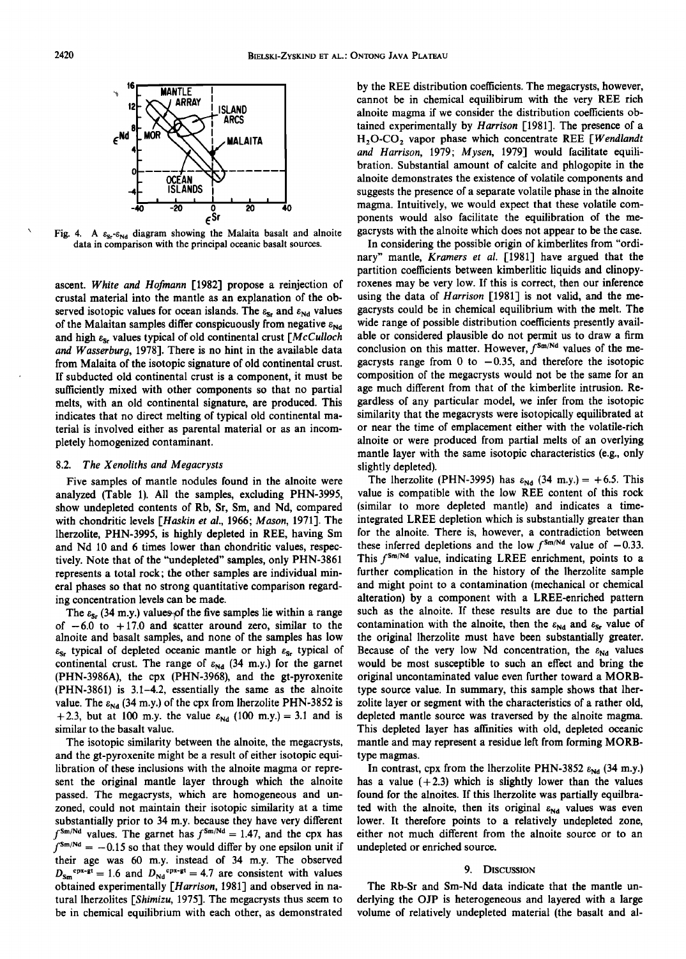

Fig. 4. A  $\varepsilon_{\rm s}$ - $\varepsilon_{\rm Nd}$  diagram showing the Malaita basalt and alnoite data in comparison with the principal oceanic basalt sources.

ascent. *White and Hofmann* [1982] propose a reinjection of crustal material into the mantle as an explanation of the observed isotopic values for ocean islands. The  $\varepsilon_{\text{Sr}}$  and  $\varepsilon_{\text{Nd}}$  values of the Malaitan samples differ conspicuously from negative  $\varepsilon_{Nd}$ and high *es,* values typical of old continental crust *[McCulloch and Wasserburg,* 1978]. There is no hint in the available data from Malaita of the isotopic signature of old continental crust. If subducted old continental crust is a component, it must be sufficiently mixed with other components so that no partial melts, with an old continental signature, are produced. This indicates that no direct melting of typical old continental material is involved either as parental material or as an incompletely homogenized contaminant.

# 8.2. *The Xenoliths and Megacrysts*

Five samples of mantle nodules found in the alnoite were analyzed (Table 1). All the samples, excluding PHN-3995, show undepleted contents of Rb, Sr, Sm, and Nd, compared with chondritic levels *[Haskin et al.,* 1966; *Mason,* 1971]. The lherzolite, PHN-3995, is highly depleted in REE, having Sm and Nd 10 and 6 times lower than chondritic values, respectively. Note that of the "undepleted" samples, only PHN-3861 represents a total rock; the other samples are individual mineral phases so that no strong quantitative comparison regarding concentration levels can be made.

The  $\varepsilon_{5r}$  (34 m.y.) values of the five samples lie within a range of  $-6.0$  to  $+17.0$  and scatter around zero, similar to the alnoite and basalt samples, and none of the samples has low *es,* typical of depleted oceanic mantle or high *es,* typical of continental crust. The range of  $\varepsilon_{Nd}$  (34 m.y.) for the garnet (PHN-3986A), the cpx (PHN-3968), and the gt-pyroxenite (PHN-3861) is 3.1-4.2, essentially the same as the alnoite value. The  $\varepsilon_{Nd}$  (34 m.y.) of the cpx from lherzolite PHN-3852 is +2.3, but at 100 m.y. the value  $\varepsilon_{Nd}$  (100 m.y.) = 3.1 and is similar to the basalt value.

The isotopic similarity between the alnoite, the megacrysts, and the gt-pyroxenite might be a result of either isotopic equilibration of these inclusions with the alnoite magma or represent the original mantle layer through which the alnoite passed. The megacrysts, which are homogeneous and unzoned, could not maintain their isotopic similarity at a time substantially prior to 34 m.y. because they have very different  $f^{\text{Sm}/\text{Nd}}$  values. The garnet has  $f^{\text{Sm}/\text{Nd}} = 1.47$ , and the cpx has  $f^{\text{Sm}/\text{Nd}} = -0.15$  so that they would differ by one epsilon unit if their age was 60 m.y. instead of 34 m.y. The observed  $D_{\text{Sm}}^{\text{cpx-gt}} = 1.6$  and  $D_{\text{Nd}}^{\text{cpx-gt}} = 4.7$  are consistent with values obtained experimentally *[Harrison,* 1981] and observed in natural lherzolites *[Shimizu, 1975]*. The megacrysts thus seem to be in chemical equilibrium with each other, as demonstrated by the REE distribution coefficients. The megacrysts, however, cannot be in chemical equilibirum with the very REE rich alnoite magma if we consider the distribution coefficients obtained experimentally by *Harrison* [1981]. The presence of a H20-C02 vapor phase which concentrate REE *[Wendlandt and Harrison,* 1979; *Mysen,* 1979] would facilitate equilibration. Substantial amount of calcite and phlogopite in the alnoite demonstrates the existence of volatile components and suggests the presence of a separate volatile phase in the alnoite magma. Intuitively, we would expect that these volatile components would also facilitate the equilibration of the megacrysts with the alnoite which does not appear to be the case.

In considering the possible origin of kimberlites from "ordinary" mantle, *Kramers et al.* [1981] have argued that the partition coefficients between kimberlitic liquids and clinopyroxenes may be very low. If this is correct, then our inference using the data of *Harrison* [1981] is not valid, and the megacrysts could be in chemical equilibrium with the melt. The wide range of possible distribution coefficients presently available or considered plausible do not permit us to draw a firm conclusion on this matter. However,  $f^{\text{Sm/Nd}}$  values of the megacrysts range from 0 to  $-0.35$ , and therefore the isotopic composition of the megacrysts would not be the same for an age much different from that of the kimberlite intrusion. Regardless of any particular model, we infer from the isotopic similarity that the megacrysts were isotopically equilibrated at or near the time of emplacement either with the volatile-rich alnoite or were produced from partial melts of an overlying mantle layer with the same isotopic characteristics (e.g., only slightly depleted).

The lherzolite (PHN-3995) has  $\varepsilon_{Nd}$  (34 m.y.) = +6.5. This value is compatible with the low REE content of this rock (similar to more depleted mantle) and indicates a timeintegrated LREE depletion which is substantially greater than for the alnoite. There is, however, a contradiction between these inferred depletions and the low  $f^{5m/Nd}$  value of  $-0.33$ . This  $f^{\text{Sm}/\text{Nd}}$  value, indicating LREE enrichment, points to a further complication in the history of the lherzolite sample and might point to a contamination (mechanical or chemical alteration) by a component with a LREE-enriched pattern such as the alnoite. If these results are due to the partial contamination with the alnoite, then the  $\varepsilon_{Nd}$  and  $\varepsilon_{Sr}$  value of the original lherzolite must have been substantially greater. Because of the very low Nd concentration, the  $\varepsilon_{Nd}$  values would be most susceptible to such an effect and bring the original uncontaminated value even further toward a MORBtype source value. In summary, this sample shows that lherzolite layer or segment with the characteristics of a rather old, depleted mantle source was traversed by the alnoite magma. This depleted layer has affinities with old, depleted oceanic mantle and may represent a residue left from forming MORBtype magmas.

In contrast, cpx from the lherzolite PHN-3852  $\varepsilon_{Nd}$  (34 m.y.) has a value  $(+2.3)$  which is slightly lower than the values found for the alnoites. If this lherzolite was partially equilbrated with the alnoite, then its original  $\varepsilon_{Nd}$  values was even lower. It therefore points to a relatively undepleted zone, either not much different from the alnoite source or to an undepleted or enriched source.

#### 9. DISCUSSION

The Rb-Sr and Sm-Nd data indicate that the mantle underlying the OJP is heterogeneous and layered with a large volume of relatively undepleted material (the basalt and al-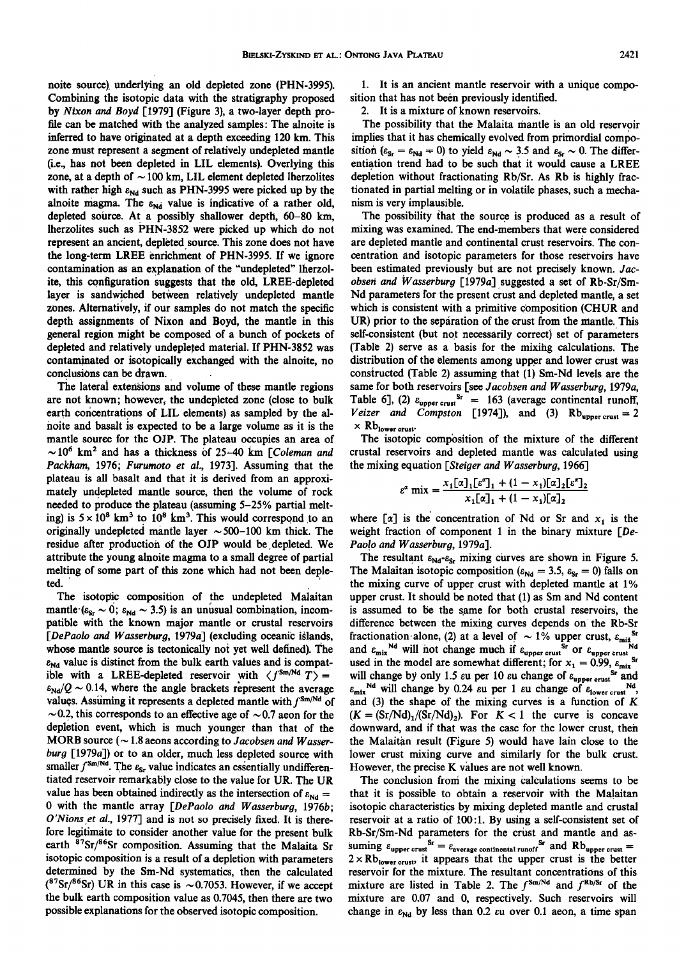noite source). underlying an old depleted zone (PHN-3995). Combining the isotopic data with the stratigraphy proposed by *Nixon and Boyd* [1979] (Figure 3), a two-layer depth profile can be matched with the analyzed samples: The alnoite is inferred to have originated at a depth exceeding 120 km. This zone must represent a segment of relatively undepleted mantle (i.e., has not been depleted in LIL elements). Overlying this zone, at a depth of  $\sim$  100 km, LIL element depleted lherzolites with rather high  $\varepsilon_{Nd}$  such as PHN-3995 were picked up by the alnoite magma. The  $\varepsilon_{\text{Nd}}$  value is indicative of a rather old, depleted source. At a possibly shallower depth, 60-80 km, lherzolites such as PHN-3852 were picked up which do not represent an ancient, depleted source. This zone does not have the long-term LREE enrichment of PHN-3995. If we ignore contamination as an explanation of the "undepleted" lherzolite, this configuration suggests that the old, LREE-depleted layer is sandwiched between relatively undepleted mantle zones. Alternatively, if our samples do not match the specific depth assignments of Nixon and Boyd, the mantle in this general region might be composed of a bunch of pockets of depleted and relatively undepleted material. If PHN-3852 was contamjnated or isotopically exchanged with the alnoite, no conclusions can be drawn.

The laterai extensions and volume of these mantle regions are not known; however, the undepleted zone (close to bulk earth concentrations of LIL elements) as sampled by the alnoite and basalt is expected to be a large volume as it is the mantle source for the OJP. The plateau occupies an area of  $\sim$  10<sup>6</sup> km<sup>2</sup> and has a thickness of 25-40 km *[Coleman and Packham,* 1976; *Furumoto et al.,* 1973]. Assuming that the plateau is all basalt and that it is derived from an approximately undepleted mantle source, then the volume of rock needed to produce the plateau (assuming 5-25% partial melting) is  $5 \times 10^8$  km<sup>3</sup> to  $10^8$  km<sup>3</sup>. This would correspond to an originally undepleted mantle layer  $\sim 500-100$  km thick. The residue after production of the OJP would be depleted. We attribute the young alnoite magma to a small degree of partial melting of some part of this zone which had not been deple- $\mathsf{ted.}$ 

The isotopic composition of the undepleted Malaitan mantle  $(\epsilon_{\text{sr}} \sim 0; \epsilon_{\text{Nd}} \sim 3.5)$  is an unusual combination, incompatible with the known major mantle or crustal reservoirs *[DePaolo and W asserburg,* 1979a] (excluding oceanic islands, whose mantle source is tectonically not yet well defined). The  $\varepsilon_{\text{Nd}}$  value is distinct from the bulk earth values and is compatible with a LREE-depleted reservoir with  $\langle f^{Sm/Nd} T \rangle =$  $\varepsilon_{\text{Nd}}/Q \sim 0.14$ , where the angle brackets represent the average values. Assuming it represents a depleted mantle with  $f^{Sm/Nd}$  of  $\sim$  0.2, this corresponds to an effective age of  $\sim$  0.7 aeon for the depletion event, which is much younger than that of the MORB source ( $\sim$  1.8 aeons according to *Jacobsen and Wasserburg* [1979a]) or to an older, much less depleted source with smaller  $f^{\text{Sm}/\text{Nd}}$ . The  $\varepsilon_{\text{S}r}$  value indicates an essentially undifferentiated reservoir remarkably close to the value for UR. The UR value has been obtained indirectly as the intersection of  $\varepsilon_{Nd} =$ 0 with the mantle array *[DePaolo and Wasserburg,* 1976b; *O'Nions ,et al.,* 1977] and is not so precisely fixed. It is therefore legitimate to consider another value for the present bulk earth <sup>87</sup>Sr/<sup>86</sup>Sr composition. Assuming that the Malaita Sr isotopic composition is a result of a depletion with parameters determined by the Sm-Nd systematics, then the calculated  $(^{87}Sr/^{86}Sr)$  UR in this case is ~0.7053. However, if we accept the bulk earth composition value as 0.7045, then there are two possible explanations for the observed isotopic composition.

1. It is an ancient mantle reservoir with a unique composition that has not been previously identified.

2. It is a mixture of known reservoirs.

The possibility that the Malaita mantle is an old reservoir implies that it has chemically evolved from primordial composition ( $\varepsilon_{\text{Sr}} = \varepsilon_{\text{Nd}} = 0$ ) to yield  $\varepsilon_{\text{Nd}} \sim 3.5$  and  $\varepsilon_{\text{Sr}} \sim 0$ . The differentiation trend had to be such that it would cause a LREE depletion without fractionating Rb/Sr. As Rb is highly fractionated in partial melting or in volatile phases, such a mechanism is very implausible.

The possibility that the source is produced as a result of mixing was examined. The end-members that were considered are depleted mantle and continental crust reservoirs. The concentration and isotopic parameters for those reservoirs have been estimated previously but are not precisely known. *Jacobsen and W asserburg* [1979a] suggested a set of Rb-Sr/Sm-Nd parameters for the present crust and depleted mantle, a set which is consistent with a primitive composition (CHUR and UR) prior to the separation of the crust from the mantle. This self-consistent (but not necessarily correct) set of parameters (Table 2) serve as a basis for the mixihg calculations. The distribution of the elements among upper and lower crust was constructed (Table 2) assuming that (1) Sm-Nd levels are the same for both reservoirs [see *Jacobsen and Wasserburg,* 1979a, Table 6], (2)  $\varepsilon_{\text{upper crust}}^{Sr} = 163$  (average continental runoff, *Veizer and Compston* [1974]), and (3)  $Rb_{upper\, crust} = 2$  $\times$  Rb<sub>lower crust</sub>.

The isotopic composition of the mixture of the different crustal reservoirs and depleted mantle was calculated using the mixing equation *[Steiger and W asserburg,* 1966]

$$
\varepsilon^{\alpha} \text{ mix} = \frac{x_1[\alpha]_1[\varepsilon^{\alpha}]_1 + (1 - x_1)[\alpha]_2[\varepsilon^{\alpha}]_2}{x_1[\alpha]_1 + (1 - x_1)[\alpha]_2}
$$

where  $\lceil \alpha \rceil$  is the concentration of Nd or Sr and  $x_1$  is the weight fraction of component 1 in the binary mixture *[De-*Paolo and Wasserburg, 1979a].

The resultant  $\varepsilon_{Nd} - \varepsilon_{Sr}$  mixing curves are shown in Figure 5. The Malaitan isotopic composition ( $\varepsilon_{Nd} = 3.5$ ,  $\varepsilon_{Sr} = 0$ ) falls on the mixing curve of upper crust with depleted mantle at 1% upper crust. It should be noted that (1) as Sm and Nd content is assumed to be the same for both crustal reservoirs, the difference between the mixing curves depends on the Rb-Sr fractionation·alone, (2) at a level of  $\sim 1\%$  upper crust,  $\varepsilon_{\text{mix}}^{S_t}$ <br>and  $\varepsilon_{\text{mix}}^{N_d}$  will not change much if  $\varepsilon_{\text{mix}}^{S_t}$  or  $\varepsilon_{\text{mix}}^{S_t}$ and  $\varepsilon_{\text{mix}}$ <sup>Nd</sup> will not change much if  $\varepsilon_{\text{upper crust}}$  or  $\varepsilon_{\text{upper crust}}$ <sup>Nd</sup> used in the model are somewhat different; for  $x_1 = 0.99$ ,  $\varepsilon_{\text{mix}}^{\text{sr}}$ will change by only 1.5  $\varepsilon$ u per 10  $\varepsilon$ u change of  $\varepsilon$ <sub>upper crust</sub> Sr and  $\varepsilon_{\text{mix}}$ <sup>Nd</sup> will change by 0.24  $\varepsilon$ u per 1  $\varepsilon$ u change of  $\varepsilon_{\text{lower crust}}$ <sup>Nd</sup>, and  $(3)$  the shape of the mixing curves is a function of K  $(K = (Sr/Nd)<sub>1</sub>/(Sr/Nd)<sub>2</sub>)$ . For  $K < 1$  the curve is concave downward, and if that was the case for the lower crust, then the Malaitan result (Figure 5) would have lain close to the lower crust mixing curve and similarly for the bulk crust. However, the precise K values are not well known.

The conclusion froni the mixing calculations seems to be that it is possible to obtain a reservoir with the Malaitan isotopic characteristics by mixing depleted mantle and crustal reservoir at a ratio of 100:1. By using a self-consistent set of Rb-Sr/Sm-Nd parameters for the crust and mantle and as- $\sum_{\text{simple}}$   $\varepsilon_{\text{upper crust}}$   $\sum_{\text{average contained round}}$  and  $\text{Rb}_{\text{upper crust}}$  =  $2 \times Rb_{\text{lower crust}}$ , it appears that the upper crust is the better reservoir for the mixture. The resultant concentrations of this mixture are listed in Table 2. The  $f^{Sm/Nd}$  and  $f^{Rb/Sr}$  of the mixture are 0.07 and 0, respectively. Such reservoirs will change in  $\varepsilon_{Nd}$  by less than 0.2  $\varepsilon u$  over 0.1 aeon, a time span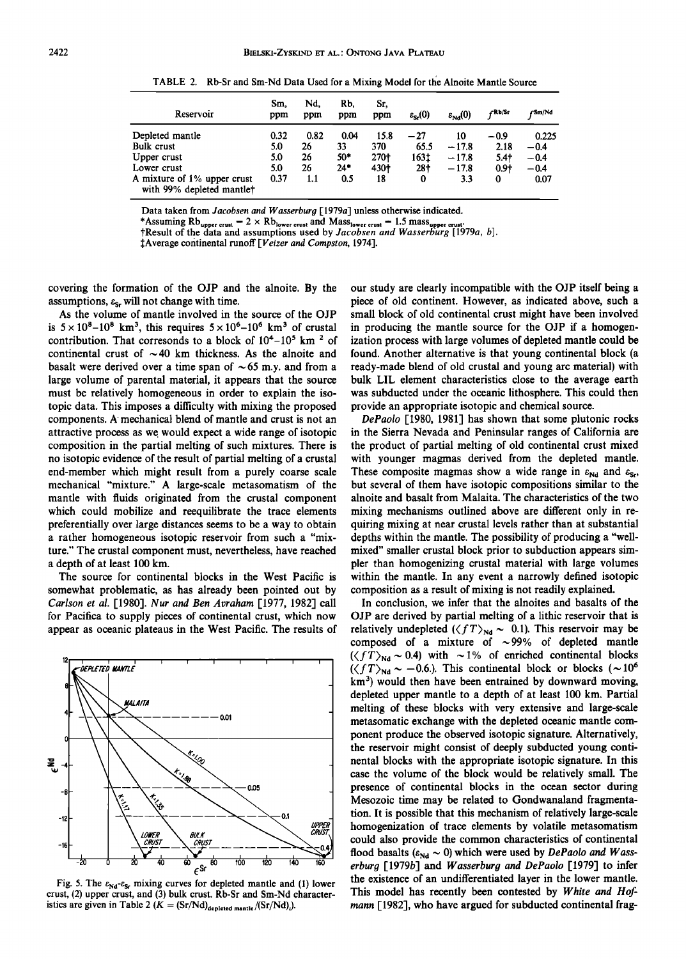| Reservoir                                                | Sm.<br>ppm | Nd.<br>ppm | Rb.<br>ppm | Sr.<br>ppm | $\varepsilon_{\rm s}(0)$ | $\varepsilon_{NA}(0)$ | √Rb/Sr | ∫Sm/Nd |
|----------------------------------------------------------|------------|------------|------------|------------|--------------------------|-----------------------|--------|--------|
| Depleted mantle                                          | 0.32       | 0.82       | 0.04       | 15.8       | $^{-27}$                 | 10                    | -0.9   | 0.225  |
| Bulk crust                                               | 5.0        | 26         | 33         | 370        | 65.5                     | $-17.8$               | 2.18   | $-0.4$ |
| Upper crust                                              | 5.0        | 26         | 50*        | 270+       | 163±                     | $-17.8$               | $5.4+$ | $-0.4$ |
| Lower crust                                              | 5.0        | 26         | 24"        | 430†       | $28+$                    | $-17.8$               | $0.9+$ | $-0.4$ |
| A mixture of 1% upper crust<br>with 99% depleted mantlet | 0.37       | 1.1        | 0.5        | 18         | 0                        | 3.3                   | 0      | 0.07   |

TABLE 2. Rb-Sr and Sm-Nd Data Used for a Mixing Model for the Alnoite Mantle Source

Data taken from *Jacobsen and W asserburg* [ 1979a] unless otherwise indicated.

\*Assuming Rb<sub>upper crust = 2 × Rb<sub>lower crust</sub> and Mass<sub>lower crust</sub> = 1.5 mass<sub>upper crust</sub>.<br>†Result of the data and assumptions used by *Jacobsen and Wasserburg* [1979*a*, *b*].</sub>

!Average continental runoff *[Veizer and Compston,* 1974].

covering the formation of the OJP and the alnoite. By the assumptions,  $\varepsilon_{\text{S}_r}$  will not change with time.

As the volume of mantle involved in the source of the OJP is  $5 \times 10^8 - 10^8$  km<sup>3</sup>, this requires  $5 \times 10^6 - 10^6$  km<sup>3</sup> of crustal contribution. That corresonds to a block of  $10^4 - 10^5$  km<sup>2</sup> of continental crust of  $\sim$  40 km thickness. As the alnoite and basalt were derived over a time span of  $\sim 65$  m.y. and from a large volume of parental material, it appears that the source must be relatively homogeneous in order to explain the isotopic data. This imposes a difficulty with mixing the proposed components. A mechanical blend of mantle and crust is not an attractive process as we would expect a wide range of isotopic composition in the partial melting of such mixtures. There is no isotopic evidence of the result of partial melting of a crustal end-member which might result from a purely coarse scale mechanical "mixture." A large-scale metasomatism of the mantle with fluids originated from the crustal component which could mobilize and reequilibrate the trace elements preferentially over large distances seems to be a way to obtain a rather homogeneous isotopic reservoir from such a "mixture." The crustal component must, nevertheless, have reached a depth of at least 100 km.

The source for continental blocks in the West Pacific is somewhat problematic, as has already been pointed out by *Carlson et al.* [1980]. *Nur and Ben Avraham* [1977, 1982] call for Pacifica to supply pieces of continental crust, which now appear as oceanic plateaus in the West Pacific. The results of



Fig. 5. The  $\varepsilon_{Nd} - \varepsilon_{Sr}$  mixing curves for depleted mantle and (1) lower crust, (2) upper crust, and (3) bulk crust. Rb-Sr and Sm-Nd characteristics are given in Table 2  $(K = (Sr/Nd)_{\text{depleted mantle}}/(Sr/Nd))$ .

our study are clearly incompatible with the OJP itself being a piece of old continent. However, as indicated above, such a small block of old continental crust might have been involved in producing the mantle source for the OJP if a homogenization process with large volumes of depleted mantle could be found. Another alternative is that young continental block (a ready-made blend of old crustal and young arc material) with bulk LIL element characteristics close to the average earth was subducted under the oceanic lithosphere. This could then provide an appropriate isotopic and chemical source.

*DePaolo* [1980, 1981] has shown that some plutonic rocks in the Sierra Nevada and Peninsular ranges of California are the product of partial melting of old continental crust mixed with younger magmas derived from the depleted mantle. These composite magmas show a wide range in  $\varepsilon_{Nd}$  and  $\varepsilon_{Sr}$ , but several of them have isotopic compositions similar to the alnoite and basalt from Malaita. The characteristics of the two mixing mechanisms outlined above are different only in requiring mixing at near crustal levels rather than at substantial depths within the mantle. The possibility of producing a "wellmixed" smaller crustal block prior to subduction appears simpler than homogenizing crustal material with large volumes within the mantle. In any event a narrowly defined isotopic composition as a result of mixing is not readily explained.

In conclusion, we infer that the alnoites and basalts of the OJP are derived by partial melting of a lithic reservoir that is relatively undepleted  $(\langle fT\rangle_{Nd} \sim 0.1)$ . This reservoir may be composed of a mixture of  $\sim$ 99% of depleted mantle  $(\langle fT\rangle_{Nd} \sim 0.4)$  with  $\sim 1\%$  of enriched continental blocks  $(\langle fT\rangle_{\text{Nd}} \sim -0.6)$ . This continental block or blocks ( ~10<sup>6</sup>)  $km<sup>3</sup>$ ) would then have been entrained by downward moving, depleted upper mantle to a depth of at least 100 km. Partial melting of these blocks with very extensive and large-scale metasomatic exchange with the depleted oceanic mantle component produce the observed isotopic signature. Alternatively, the reservoir might consist of deeply subducted young continental blocks with the appropriate isotopic signature. In this case the volume of the block would be relatively small. The presence of continental blocks in the ocean sector during Mesozoic time may be related to Gondwanaland fragmentation. It is possible that this mechanism of relatively large-scale homogenization of trace elements by volatile metasomatism could also provide the common characteristics of continental flood basalts  $(\varepsilon_{Nd} \sim 0)$  which were used by *DePaolo and Wasserburg* [1979b] and *Wasserburg and DePaolo* [1979] to infer the existence of an undifferentiated layer in the lower mantle. This model has recently been contested by *White and Hofmann* [1982], who have argued for subducted continental frag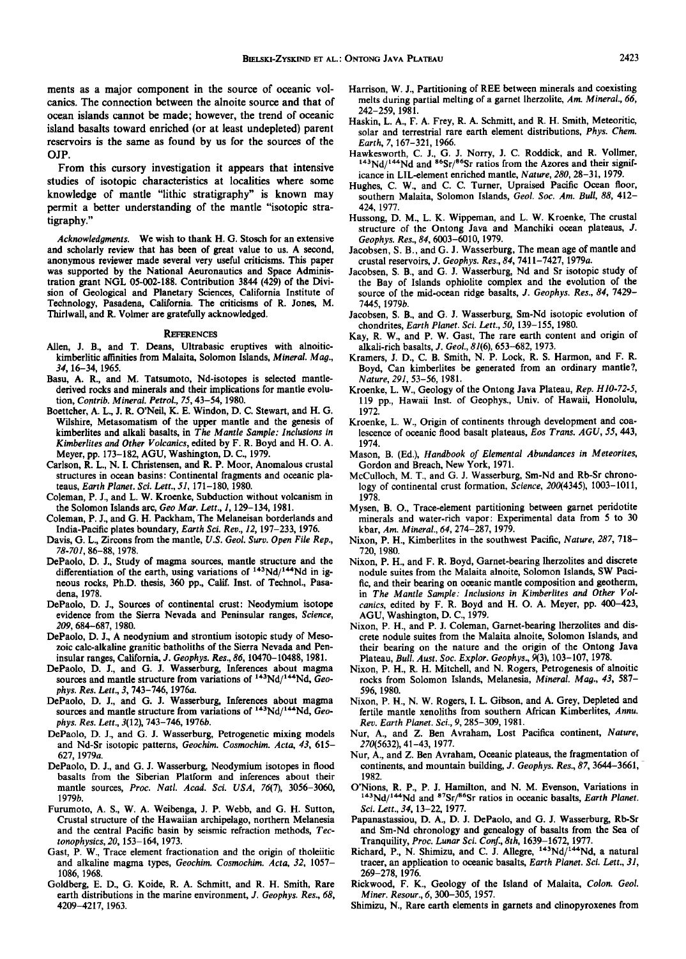ments as a major component in the source of oceanic volcanics. The connection between the alnoite source and that of ocean islands cannot be made; however, the trend of oceanic island basalts toward enriched (or at least undepleted) parent reservoirs is the same as found by us for the sources of the OJP.

From this cursory investigation it appears that intensive studies of isotopic characteristics at localities where some knowledge of mantle "lithic stratigraphy" is known may permit a better understanding of the mantle "isotopic stratigraphy."

*Acknowledgments.* We wish to thank H. G. Stosch for an extensive and scholarly review that has been of great value to us. A second, anonymous reviewer made several very useful criticisms. This paper was supported by the National Aeuronautics and Space Administration grant NGL 05-002-188. Contribution 3844 (429) of the Division of Geological and Planetary Sciences, California Institute of Technology, Pasadena, California. The criticisms of R. Jones, M. Thirlwall, and R. Volmer are gratefully acknowledged.

#### **REFERENCES**

- Allen, J. B., and T. Deans, Ultrabasic eruptives with alnoitickimberlitic affinities from Malaita, Solomon Islands, *Mineral. Mag., 34,* 16-34, 1965.
- Basu, A. R., and M. Tatsumoto, Nd-isotopes is selected mantlederived rocks and minerals and their implications for mantle evolution, *Contrib. Mineral. Petrol.,* 75,43-54, 1980.
- Boettcher, A. L., J. R. O'Neil, K. E. Windon, D. C. Stewart, and H. G. Wilshire, Metasomatism of the upper mantle and the genesis of kimberlites and alkali basalts, in *The Mantle Sample: Inclusions in Kimberlites and Other Volcanics,* edited by F. R. Boyd and H. 0. A. Meyer, pp. 173-182, AGU, Washington, D. C., 1979.
- Carlson, R. L., N. I. Christensen, and R. P. Moor, Anomalous crustal structures in ocean basins: Continental fragments and oceanic plateaus, *Earth Planet. Sci. Lett., 51,* 171-180, 1980.
- Coleman, P. J., and L. W. Kroenke, Subduction without volcanism in the Solomon Islands arc, *Geo Mar. Lett., 1,* 129-134, 1981.
- Coleman, P. J., and G. H. Packham, The Melaneisan borderlands and India-Pacific plates boundary, *Earth Sci. Rev., 12,* 197-233, 1976.
- Davis, G. L., Zircons from the mantle, *U.S. Geol. Surv. Open File Rep., 78-701,* 86-88, 1978.
- DePaolo, D. J., Study of magma sources, mantle structure and the differentiation of the earth, using variations of  $143Nd/144Nd$  in igneous rocks, Ph.D. thesis, 360 pp., Calif. Inst. of Techno!., Pasadena, 1978.
- DePaolo, D. J., Sources of continental crust: Neodymium isotope evidence from the Sierra Nevada and Peninsular ranges, *Science, 209,* 684-687, 1980.
- DePaolo, D. J., A neodynium and strontium isotopic study of Mesozoic calc-alkaline granitic batholiths of the Sierra Nevada and Peninsular ranges, California, J. *Geophys. Res., 86,* 10470-10488, 1981.
- DePaolo, D. J., and G. J. Wasserburg, Inferences about magma sources and mantle structure from variations of <sup>143</sup>Nd/<sup>144</sup>Nd, *Geophys. Res. Lett., 3,* 743-746, 1976a.
- DePaolo, D. J., and G. J. Wasserburg, Inferences about magma sources and mantle structure from variations of <sup>143</sup>Nd/<sup>144</sup>Nd, Geo*phys. Res. Lett.,* 3(12), 743-746, 1976b.
- DePaolo, D. J., and G. J. Wasserburg, Petrogenetic mixing models and Nd-Sr isotopic patterns, *Geochim. Cosmochim. Acta, 43,* 615- 627, 1979a.
- DePaolo, D. J., and G. J. Wasserburg, Neodymium isotopes in flood basalts from the Siberian Platform and inferences about their mantle sources, *Proc. Natl. Acad. Sci. USA,* 76(7), 3056-3060, 1979b.
- Furumoto, A. S., W. A. Weibenga, J. P. Webb, and G. H. Sutton, Crustal structure of the Hawaiian archipelago, northern Melanesia and the central Pacific basin by seismic refraction methods, *Tectonophysics,20,* 153-164,1973.
- Gast, P. W., Trace element fractionation and the origin of tholeiitic and alkaline magma types, *Geochim. Cosmochim. Acta, 32,* 1057- 1086, 1968.
- Goldberg, E. D., G. Koide, R. A. Schmitt, and R. H. Smith, Rare earth distributions in the marine environment, J. *Geophys. Res., 68,*  4209-4217, 1963.
- Harrison, W. J., Partitioning of REE between minerals and coexisting melts during partial melting of a garnet lherzolite, *Am. Mineral., 66,*  242-259, 1981.
- Haskin, L. A., F. A. Frey, R. A. Schmitt, and R. H. Smith, Meteoritic, solar and terrestrial rare earth element distributions, *Phys. Chern.*
- *Earth, 7, 167-321, 1966.*<br>Hawkesworth, C. J., G. J. Norry, J. C. Roddick, and R. Vollmer,  $^{143}$ Nd/<sup>144</sup>Nd and <sup>86</sup>Sr/<sup>86</sup>Sr ratios from the Azores and their significance in LIL-element enriched mantle, *Nature, 280,* 28-31, 1979.
- Hughes, C. W., and C. C. Turner, Upraised Pacific Ocean floor, southern Malaita, Solomon Islands, *Geol. Soc. Am. Bull, 88,* 412- 424, 1977.
- Hussong, D. M., L. K. Wippeman, and L. W. Kroenke, The crustal structure of the Ontong Java and Manchiki ocean plateaus, J. *Geophys. Res., 84,* 6003-6010, 1979.
- Jacobsen, S. B., and G. J. Wasserburg, The mean age of mantle and crustal reservoirs, J. *Geophys. Res., 84,* 7411-7427, 1979a.
- Jacobsen, S. B., and G. J. Wasserburg, Nd and Sr isotopic study of the Bay of Islands ophiolite complex and the evolution of the source of the mid-ocean ridge basalts, J. *Geophys. Res., 84,* 7429- 7445, 1979b.
- Jacobsen, S. B., and G. J. Wasserburg, Sm-Nd isotopic evolution of chondrites, *Earth Planet. Sci. Lett., 50,* 139-155, 1980.
- Kay, R. W., and P. W. Gast, The rare earth content and origin of alkali-rich basalts, J. *Geol.,* 81(6), 653-682, 1973.
- Kramers, J. D., C. B. Smith, N. P. Lock, R. S. Harmon, and F. R. Boyd, Can kimberlites be generated from an ordinary mantle?, *Nature, 291,* 53-56, 1981.
- Kroenke, L. W., Geology of the Ontong Java Plateau, *Rep. H 10-72-5,*  119 pp., Hawaii lnst. of Geophys., Univ. of Hawaii, Honolulu, 1972.
- Kroenke, L. W., Origin of continents through development and coalescence of oceanic flood basalt plateaus, *Eos Trans. AGU, 55,* 443, 1974.
- Mason, B. (Ed.), *Handbook of Elemental Abundances in Meteorites,*  Gordon and Breach, New York, 1971.
- McCulloch, M. T., and G. J. Wasserburg, Sm-Nd and Rb-Sr chronology of continental crust formation, *Science, 200(4345),* 1003-1011, 1978.
- Mysen, B. 0., Trace-element partitioning between garnet peridotite minerals and water-rich vapor: Experimental data from *5* to 30 kbar, *Am. Mineral., 64,* 274-287, 1979.
- Nixon, P. H., Kimberlites in the southwest Pacific, *Nature, 287,* 718- 720, 1980.
- Nixon, P. H., and F. R. Boyd, Garnet-bearing lherzolites and discrete nodule suites from the Malaita alnoite, Solomon Islands, SW Pacific, and their bearing on oceanic mantle composition and geotherm, in *The Mantle Sample: Inclusions in Kimberlites and Other Volcanics,* edited by F. R. Boyd and H. 0. A. Meyer, pp. 400-423, AGU, Washington, D. C., 1979.
- Nixon, P. H., and P. J. Coleman, Garnet-bearing lherzolites and discrete nodule suites from the Malaita alnoite, Solomon Islands, and their bearing on the nature and the origin of the Ontong Java Plateau, *Bull. Aust. Soc. Explor. Geophys.,* 9(3), 103-107, 1978.
- Nixon, P. H., R. H. Mitchell, and N. Rogers, Petrogenesis of alnoitic rocks from Solomon Islands, Melanesia, *Mineral. Mag., 43,* 587- 596, 1980.
- Nixon, P. H., N. W. Rogers, I. L. Gibson, and A. Grey, Depleted and fertile mantle xenoliths from southern African Kimberlites, *Annu. Rev. Earth Planet. Sci., 9,* 285-309, 1981.
- Nur, A., and Z. Ben Avraham, Lost Pacifica continent, *Nature,*  270(5632), 41-43, 1977.
- Nur, A., and Z. Ben Avraharn, Oceanic plateaus, the fragmentation of continents, and mountain building, J. *Geophys. Res., 87,* 3644-3661,
- 1982.<br>O'Nions, R. P., P. J. Hamilton, and N. M. Evenson, Variations in <sup>143</sup>Nd/<sup>144</sup>Nd and <sup>87</sup>Sr/<sup>86</sup>Sr ratios in oceanic basalts, *Earth Planet*. *Sci. Lett., 34,* 13-22, 1977.
- Papanastassiou, D. A., D. J. DePaolo, and G. J. Wasserburg, Rb-Sr and Sm-Nd chronology and genealogy of basalts from the Sea of Tranquility, *Proc. Lunar Sci. Conf, 8th,* 1639-1672, 1977.
- Richard, P., N. Shimizu, and C. J. Allegre,  $143Nd/144Nd$ , a natural tracer, an application to oceanic basalts, *Earth Planet. Sci. Lett., 31,*  269-278, 1976.
- Rickwood, F. K., Geology of the Island of Malaita, *Colon. Geol. Miner. Resour., 6,* 300-305, 1957.
- Shimizu, N., Rare earth elements in garnets and clinopyroxenes from